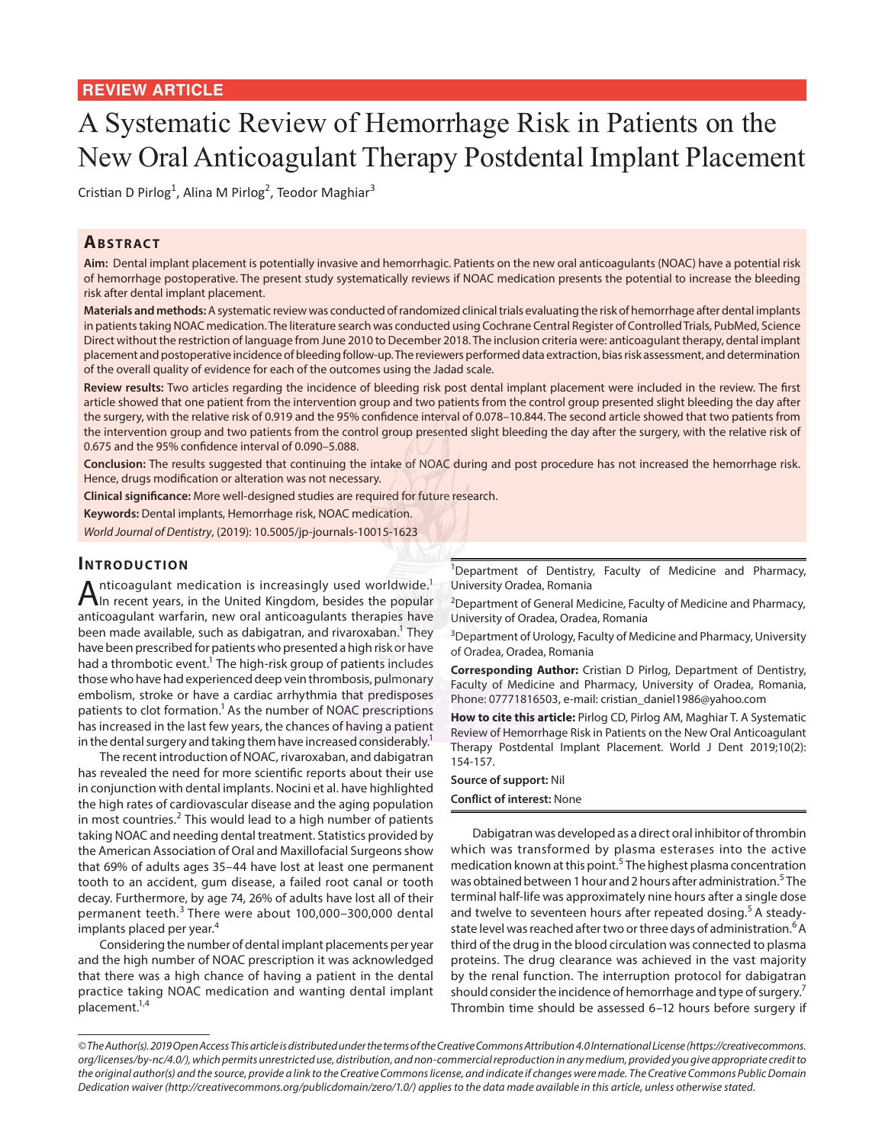# A Systematic Review of Hemorrhage Risk in Patients on the New Oral Anticoagulant Therapy Postdental Implant Placement

Cristian D Pirlog<sup>1</sup>, Alina M Pirlog<sup>2</sup>, Teodor Maghiar<sup>3</sup>

## **ABSTRACT**

**Aim:** Dental implant placement is potentially invasive and hemorrhagic. Patients on the new oral anticoagulants (NOAC) have a potential risk of hemorrhage postoperative. The present study systematically reviews if NOAC medication presents the potential to increase the bleeding risk after dental implant placement.

**Materials and methods:** A systematic review was conducted of randomized clinical trials evaluating the risk of hemorrhage after dental implants in patients taking NOAC medication. The literature search was conducted using Cochrane Central Register of Controlled Trials, PubMed, Science Direct without the restriction of language from June 2010 to December 2018. The inclusion criteria were: anticoagulant therapy, dental implant placement and postoperative incidence of bleeding follow-up. The reviewers performed data extraction, bias risk assessment, and determination of the overall quality of evidence for each of the outcomes using the Jadad scale.

**Review results:** Two articles regarding the incidence of bleeding risk post dental implant placement were included in the review. The first article showed that one patient from the intervention group and two patients from the control group presented slight bleeding the day after the surgery, with the relative risk of 0.919 and the 95% confidence interval of 0.078–10.844. The second article showed that two patients from the intervention group and two patients from the control group presented slight bleeding the day after the surgery, with the relative risk of 0.675 and the 95% confidence interval of 0.090–5.088.

**Conclusion:** The results suggested that continuing the intake of NOAC during and post procedure has not increased the hemorrhage risk. Hence, drugs modification or alteration was not necessary.

**Clinical significance:** More well-designed studies are required for future research.

**Keywords:** Dental implants, Hemorrhage risk, NOAC medication.

*World Journal of Dentistry*, (2019): 10.5005/jp-journals-10015-1623

## **INTRODUCTION**

Anticoagulant medication is increasingly used worldwide.<sup>1</sup> In recent years, in the United Kingdom, besides the popular anticoagulant warfarin, new oral anticoagulants therapies have been made available, such as dabigatran, and rivaroxaban.<sup>1</sup> They have been prescribed for patients who presented a high risk or have had a thrombotic event.<sup>1</sup> The high-risk group of patients includes those who have had experienced deep vein thrombosis, pulmonary embolism, stroke or have a cardiac arrhythmia that predisposes patients to clot formation.<sup>1</sup> As the number of NOAC prescriptions has increased in the last few years, the chances of having a patient in the dental surgery and taking them have increased considerably.<sup>1</sup>

The recent introduction of NOAC, rivaroxaban, and dabigatran has revealed the need for more scientific reports about their use in conjunction with dental implants. Nocini et al. have highlighted the high rates of cardiovascular disease and the aging population in most countries.<sup>2</sup> This would lead to a high number of patients taking NOAC and needing dental treatment. Statistics provided by the American Association of Oral and Maxillofacial Surgeons show that 69% of adults ages 35–44 have lost at least one permanent tooth to an accident, gum disease, a failed root canal or tooth decay. Furthermore, by age 74, 26% of adults have lost all of their permanent teeth.3 There were about 100,000–300,000 dental implants placed per year.<sup>4</sup>

Considering the number of dental implant placements per year and the high number of NOAC prescription it was acknowledged that there was a high chance of having a patient in the dental practice taking NOAC medication and wanting dental implant placement.<sup>1,4</sup>

<sup>1</sup>Department of Dentistry, Faculty of Medicine and Pharmacy, University Oradea, Romania

 $2$ Department of General Medicine, Faculty of Medicine and Pharmacy, University of Oradea, Oradea, Romania

<sup>3</sup>Department of Urology, Faculty of Medicine and Pharmacy, University of Oradea, Oradea, Romania

**Corresponding Author:** Cristian D Pirlog, Department of Dentistry, Faculty of Medicine and Pharmacy, University of Oradea, Romania, Phone: 07771816503, e-mail: cristian\_daniel1986@yahoo.com

**How to cite this article:** Pirlog CD, Pirlog AM, Maghiar T. A Systematic Review of Hemorrhage Risk in Patients on the New Oral Anticoagulant Therapy Postdental Implant Placement. World J Dent 2019;10(2): 154-157.

#### **Source of support:** Nil **Conflict of interest:** None

Dabigatran was developed as a direct oral inhibitor of thrombin which was transformed by plasma esterases into the active medication known at this point.<sup>5</sup> The highest plasma concentration was obtained between 1 hour and 2 hours after administration.<sup>5</sup> The terminal half-life was approximately nine hours after a single dose and twelve to seventeen hours after repeated dosing.<sup>5</sup> A steadystate level was reached after two or three days of administration.<sup>6</sup> A third of the drug in the blood circulation was connected to plasma proteins. The drug clearance was achieved in the vast majority by the renal function. The interruption protocol for dabigatran should consider the incidence of hemorrhage and type of surgery.<sup>7</sup> Thrombin time should be assessed 6–12 hours before surgery if

*<sup>©</sup> The Author(s). 2019 Open Access This article is distributed under the terms of the Creative Commons Attribution 4.0 International License (https://creativecommons. org/licenses/by-nc/4.0/), which permits unrestricted use, distribution, and non-commercial reproduction in any medium, provided you give appropriate credit to the original author(s) and the source, provide a link to the Creative Commons license, and indicate if changes were made. The Creative Commons Public Domain Dedication waiver (http://creativecommons.org/publicdomain/zero/1.0/) applies to the data made available in this article, unless otherwise stated.*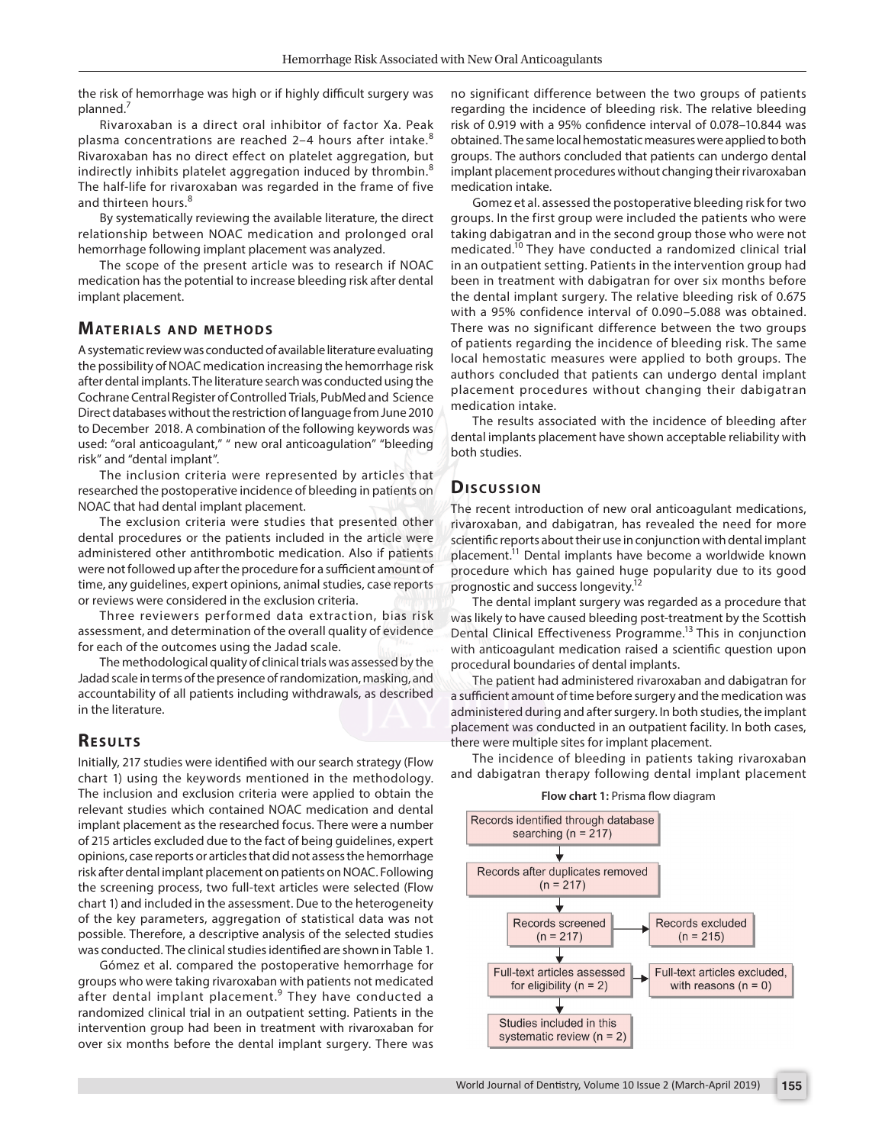the risk of hemorrhage was high or if highly difficult surgery was planned.7

Rivaroxaban is a direct oral inhibitor of factor Xa. Peak plasma concentrations are reached 2–4 hours after intake.<sup>8</sup> Rivaroxaban has no direct effect on platelet aggregation, but indirectly inhibits platelet aggregation induced by thrombin.<sup>8</sup> The half-life for rivaroxaban was regarded in the frame of five and thirteen hours.<sup>8</sup>

By systematically reviewing the available literature, the direct relationship between NOAC medication and prolonged oral hemorrhage following implant placement was analyzed.

The scope of the present article was to research if NOAC medication has the potential to increase bleeding risk after dental implant placement.

#### **MATERIALS AND METHODS**

A systematic review was conducted of available literature evaluating the possibility of NOAC medication increasing the hemorrhage risk after dental implants. The literature search was conducted using the Cochrane Central Register of Controlled Trials, PubMed and Science Direct databases without the restriction of language from June 2010 to December 2018. A combination of the following keywords was used: "oral anticoagulant," " new oral anticoagulation" "bleeding risk" and "dental implant".

The inclusion criteria were represented by articles that researched the postoperative incidence of bleeding in patients on NOAC that had dental implant placement.

The exclusion criteria were studies that presented other dental procedures or the patients included in the article were administered other antithrombotic medication. Also if patients were not followed up after the procedure for a sufficient amount of time, any guidelines, expert opinions, animal studies, case reports or reviews were considered in the exclusion criteria.

Three reviewers performed data extraction, bias risk assessment, and determination of the overall quality of evidence for each of the outcomes using the Jadad scale.

The methodological quality of clinical trials was assessed by the Jadad scale in terms of the presence of randomization, masking, and accountability of all patients including withdrawals, as described in the literature.

#### **RESULTS**

Initially, 217 studies were identified with our search strategy (Flow chart 1) using the keywords mentioned in the methodology. The inclusion and exclusion criteria were applied to obtain the relevant studies which contained NOAC medication and dental implant placement as the researched focus. There were a number of 215 articles excluded due to the fact of being guidelines, expert opinions, case reports or articles that did not assess the hemorrhage risk after dental implant placement on patients on NOAC. Following the screening process, two full-text articles were selected (Flow chart 1) and included in the assessment. Due to the heterogeneity of the key parameters, aggregation of statistical data was not possible. Therefore, a descriptive analysis of the selected studies was conducted. The clinical studies identified are shown in Table 1.

Gómez et al. compared the postoperative hemorrhage for groups who were taking rivaroxaban with patients not medicated after dental implant placement.<sup>9</sup> They have conducted a randomized clinical trial in an outpatient setting. Patients in the intervention group had been in treatment with rivaroxaban for over six months before the dental implant surgery. There was

no significant difference between the two groups of patients regarding the incidence of bleeding risk. The relative bleeding risk of 0.919 with a 95% confidence interval of 0.078–10.844 was obtained. The same local hemostatic measures were applied to both groups. The authors concluded that patients can undergo dental implant placement procedures without changing their rivaroxaban medication intake.

Gomez et al. assessed the postoperative bleeding risk for two groups. In the first group were included the patients who were taking dabigatran and in the second group those who were not medicated.10 They have conducted a randomized clinical trial in an outpatient setting. Patients in the intervention group had been in treatment with dabigatran for over six months before the dental implant surgery. The relative bleeding risk of 0.675 with a 95% confidence interval of 0.090–5.088 was obtained. There was no significant difference between the two groups of patients regarding the incidence of bleeding risk. The same local hemostatic measures were applied to both groups. The authors concluded that patients can undergo dental implant placement procedures without changing their dabigatran medication intake.

The results associated with the incidence of bleeding after dental implants placement have shown acceptable reliability with both studies.

#### **Discussion**

The recent introduction of new oral anticoagulant medications, rivaroxaban, and dabigatran, has revealed the need for more scientific reports about their use in conjunction with dental implant placement.11 Dental implants have become a worldwide known procedure which has gained huge popularity due to its good prognostic and success longevity.<sup>12</sup>

The dental implant surgery was regarded as a procedure that was likely to have caused bleeding post-treatment by the Scottish Dental Clinical Effectiveness Programme.<sup>13</sup> This in conjunction with anticoagulant medication raised a scientific question upon procedural boundaries of dental implants.

The patient had administered rivaroxaban and dabigatran for a sufficient amount of time before surgery and the medication was administered during and after surgery. In both studies, the implant placement was conducted in an outpatient facility. In both cases, there were multiple sites for implant placement.

The incidence of bleeding in patients taking rivaroxaban and dabigatran therapy following dental implant placement



**Flow chart 1:** Prisma flow diagram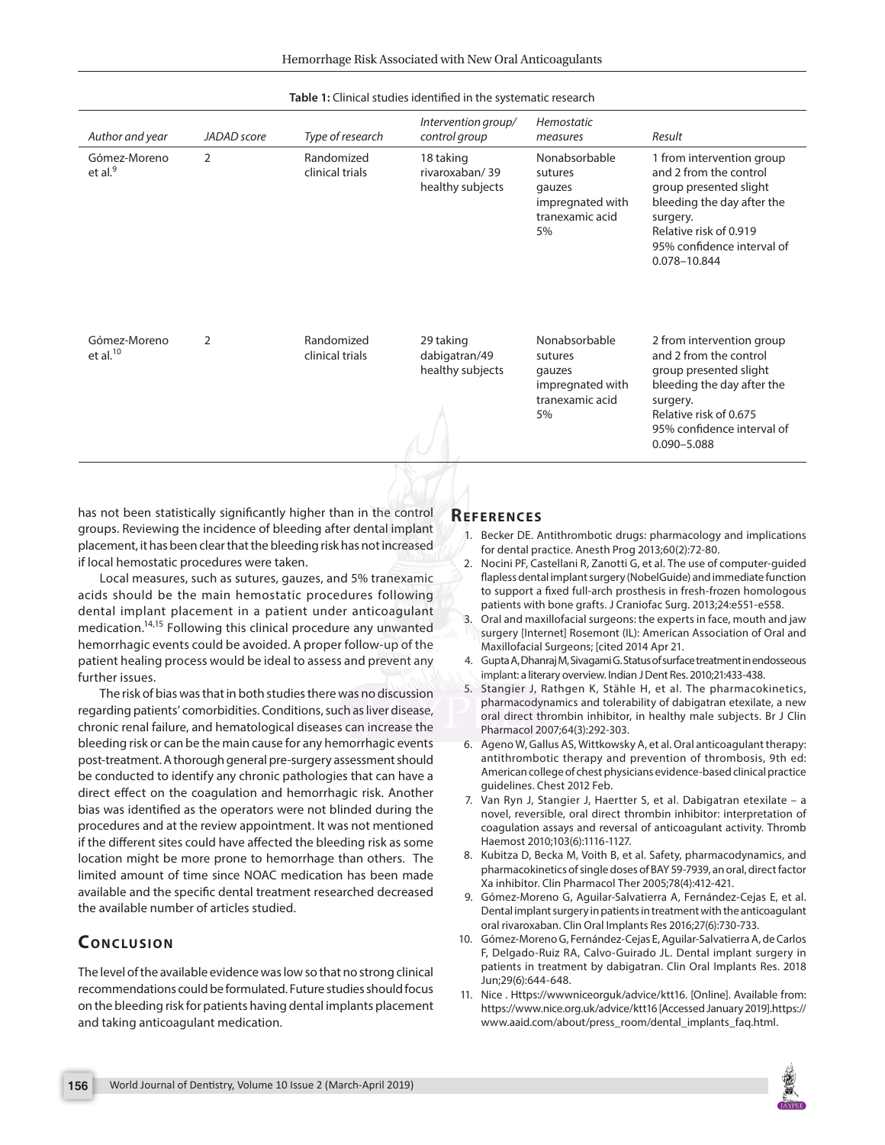| Author and year                     | JADAD score    | Type of research              | Intervention group/<br>control group            | Hemostatic<br>measures                                                          | Result                                                                                                                                                                                             |
|-------------------------------------|----------------|-------------------------------|-------------------------------------------------|---------------------------------------------------------------------------------|----------------------------------------------------------------------------------------------------------------------------------------------------------------------------------------------------|
| Gómez-Moreno<br>et al. <sup>9</sup> | $\overline{2}$ | Randomized<br>clinical trials | 18 taking<br>rivaroxaban/39<br>healthy subjects | Nonabsorbable<br>sutures<br>gauzes<br>impregnated with<br>tranexamic acid<br>5% | 1 from intervention group<br>and 2 from the control<br>group presented slight<br>bleeding the day after the<br>surgery.<br>Relative risk of 0.919<br>95% confidence interval of<br>0.078-10.844    |
| Gómez-Moreno<br>et al. $10$         | 2              | Randomized<br>clinical trials | 29 taking<br>dabigatran/49<br>healthy subjects  | Nonabsorbable<br>sutures<br>gauzes<br>impregnated with<br>tranexamic acid<br>5% | 2 from intervention group<br>and 2 from the control<br>group presented slight<br>bleeding the day after the<br>surgery.<br>Relative risk of 0.675<br>95% confidence interval of<br>$0.090 - 5.088$ |

#### **Table 1:** Clinical studies identified in the systematic research

has not been statistically significantly higher than in the control groups. Reviewing the incidence of bleeding after dental implant placement, it has been clear that the bleeding risk has not increased if local hemostatic procedures were taken.

Local measures, such as sutures, gauzes, and 5% tranexamic acids should be the main hemostatic procedures following dental implant placement in a patient under anticoagulant medication.14,15 Following this clinical procedure any unwanted hemorrhagic events could be avoided. A proper follow-up of the patient healing process would be ideal to assess and prevent any further issues.

The risk of bias was that in both studies there was no discussion regarding patients' comorbidities. Conditions, such as liver disease, chronic renal failure, and hematological diseases can increase the bleeding risk or can be the main cause for any hemorrhagic events post-treatment. A thorough general pre-surgery assessment should be conducted to identify any chronic pathologies that can have a direct effect on the coagulation and hemorrhagic risk. Another bias was identified as the operators were not blinded during the procedures and at the review appointment. It was not mentioned if the different sites could have affected the bleeding risk as some location might be more prone to hemorrhage than others. The limited amount of time since NOAC medication has been made available and the specific dental treatment researched decreased the available number of articles studied.

## **CONCLUSION**

The level of the available evidence was low so that no strong clinical recommendations could be formulated. Future studies should focus on the bleeding risk for patients having dental implants placement and taking anticoagulant medication.

#### **Re f e r e n c e s**

- 1. Becker DE. Antithrombotic drugs: pharmacology and implications for dental practice. Anesth Prog 2013;60(2):72-80.
- 2. Nocini PF, Castellani R, Zanotti G, et al. The use of computer-guided flapless dental implant surgery (NobelGuide) and immediate function to support a fixed full-arch prosthesis in fresh-frozen homologous patients with bone grafts. J Craniofac Surg. 2013;24:e551-e558.
- 3. Oral and maxillofacial surgeons: the experts in face, mouth and jaw surgery [Internet] Rosemont (IL): American Association of Oral and Maxillofacial Surgeons; [cited 2014 Apr 21.
- 4. Gupta A, Dhanraj M, Sivagami G. Status of surface treatment in endosseous implant: a literary overview. Indian J Dent Res. 2010;21:433-438.
- 5. Stangier J, Rathgen K, Stähle H, et al. The pharmacokinetics, pharmacodynamics and tolerability of dabigatran etexilate, a new oral direct thrombin inhibitor, in healthy male subjects. Br J Clin Pharmacol 2007;64(3):292-303.
- 6. Ageno W, Gallus AS, Wittkowsky A, et al. Oral anticoagulant therapy: antithrombotic therapy and prevention of thrombosis, 9th ed: American college of chest physicians evidence-based clinical practice guidelines. Chest 2012 Feb.
- 7. Van Ryn J, Stangier J, Haertter S, et al. Dabigatran etexilate a novel, reversible, oral direct thrombin inhibitor: interpretation of coagulation assays and reversal of anticoagulant activity. Thromb Haemost 2010;103(6):1116-1127.
- 8. Kubitza D, Becka M, Voith B, et al. Safety, pharmacodynamics, and pharmacokinetics of single doses of BAY 59-7939, an oral, direct factor Xa inhibitor. Clin Pharmacol Ther 2005;78(4):412-421.
- 9. Gómez-Moreno G, Aguilar-Salvatierra A, Fernández-Cejas E, et al. Dental implant surgery in patients in treatment with the anticoagulant oral rivaroxaban. Clin Oral Implants Res 2016;27(6):730-733.
- 10. Gómez-Moreno G, Fernández-Cejas E, Aguilar-Salvatierra A, de Carlos F, Delgado-Ruiz RA, Calvo-Guirado JL. Dental implant surgery in patients in treatment by dabigatran. Clin Oral Implants Res. 2018 Jun;29(6):644-648.
- 11. Nice . Https://wwwniceorguk/advice/ktt16. [Online]. Available from: https://www.nice.org.uk/advice/ktt16 [Accessed January 2019].https:// www.aaid.com/about/press\_room/dental\_implants\_faq.html.